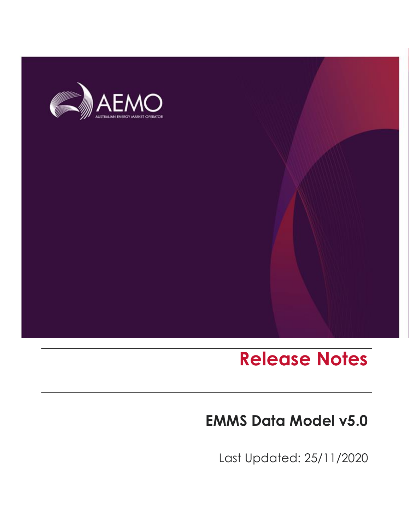

# **Release Notes**

### **EMMS Data Model v5.0**

Last Updated: 25/11/2020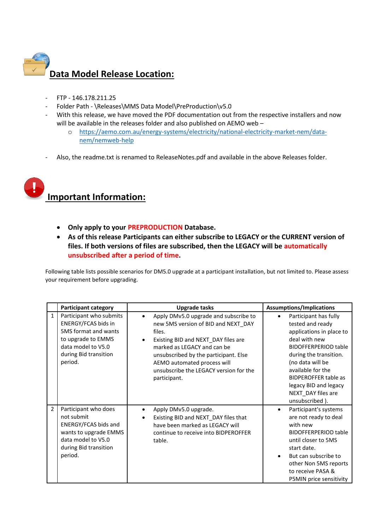

- FTP 146.178.211.25
- Folder Path \Releases\MMS Data Model\PreProduction\v5.0
- With this release, we have moved the PDF documentation out from the respective installers and now will be available in the releases folder and also published on AEMO web –
	- o [https://aemo.com.au/energy-systems/electricity/national-electricity-market-nem/data](https://aemo.com.au/energy-systems/electricity/national-electricity-market-nem/data-nem/nemweb-help)[nem/nemweb-help](https://aemo.com.au/energy-systems/electricity/national-electricity-market-nem/data-nem/nemweb-help)
- Also, the readme.txt is renamed to ReleaseNotes.pdf and available in the above Releases folder.



- **Only apply to your PREPRODUCTION Database.**
- **As of this release Participants can either subscribe to LEGACY or the CURRENT version of files. If both versions of files are subscribed, then the LEGACY will be automatically unsubscribed after a period of time.**

Following table lists possible scenarios for DM5.0 upgrade at a participant installation, but not limited to. Please assess your requirement before upgrading.

|              | <b>Participant category</b>                                                                                                                            | <b>Upgrade tasks</b>                                                                                                                                                                                                                                                                                        | <b>Assumptions/Implications</b>                                                                                                                                                                                                                                                                       |
|--------------|--------------------------------------------------------------------------------------------------------------------------------------------------------|-------------------------------------------------------------------------------------------------------------------------------------------------------------------------------------------------------------------------------------------------------------------------------------------------------------|-------------------------------------------------------------------------------------------------------------------------------------------------------------------------------------------------------------------------------------------------------------------------------------------------------|
| $\mathbf{1}$ | Participant who submits<br>ENERGY/FCAS bids in<br>5MS format and wants<br>to upgrade to EMMS<br>data model to V5.0<br>during Bid transition<br>period. | Apply DMv5.0 upgrade and subscribe to<br>new 5MS version of BID and NEXT_DAY<br>files.<br>Existing BID and NEXT_DAY files are<br>$\bullet$<br>marked as LEGACY and can be<br>unsubscribed by the participant. Else<br>AEMO automated process will<br>unsubscribe the LEGACY version for the<br>participant. | Participant has fully<br>$\bullet$<br>tested and ready<br>applications in place to<br>deal with new<br><b>BIDOFFERPERIOD table</b><br>during the transition.<br>(no data will be<br>available for the<br><b>BIDPEROFFER table as</b><br>legacy BID and legacy<br>NEXT_DAY files are<br>unsubscribed). |
| 2            | Participant who does<br>not submit<br>ENERGY/FCAS bids and<br>wants to upgrade EMMS<br>data model to V5.0<br>during Bid transition<br>period.          | Apply DMv5.0 upgrade.<br>Existing BID and NEXT_DAY files that<br>have been marked as LEGACY will<br>continue to receive into BIDPEROFFER<br>table.                                                                                                                                                          | Participant's systems<br>$\bullet$<br>are not ready to deal<br>with new<br><b>BIDOFFERPERIOD table</b><br>until closer to 5MS<br>start date.<br>But can subscribe to<br>other Non 5MS reports<br>to receive PASA &<br>P5MIN price sensitivity                                                         |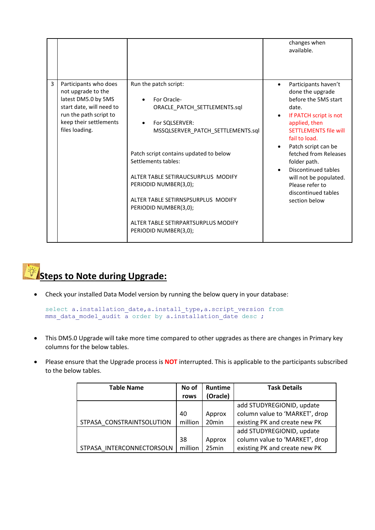|   |                                                                                                                                                                      |                                                                                                                                                                                                                                                                                                                                                                                                         | changes when<br>available.                                                                                                                                                                                                                                                                                                                                                   |
|---|----------------------------------------------------------------------------------------------------------------------------------------------------------------------|---------------------------------------------------------------------------------------------------------------------------------------------------------------------------------------------------------------------------------------------------------------------------------------------------------------------------------------------------------------------------------------------------------|------------------------------------------------------------------------------------------------------------------------------------------------------------------------------------------------------------------------------------------------------------------------------------------------------------------------------------------------------------------------------|
| 3 | Participants who does<br>not upgrade to the<br>latest DM5.0 by 5MS<br>start date, will need to<br>run the path script to<br>keep their settlements<br>files loading. | Run the patch script:<br>For Oracle-<br>ORACLE_PATCH_SETTLEMENTS.sql<br>For SQLSERVER:<br>$\bullet$<br>MSSQLSERVER_PATCH_SETTLEMENTS.sql<br>Patch script contains updated to below<br>Settlements tables:<br>ALTER TABLE SETIRAUCSURPLUS MODIFY<br>PERIODID NUMBER(3,0);<br>ALTER TABLE SETIRNSPSURPLUS MODIFY<br>PERIODID NUMBER(3,0);<br>ALTER TABLE SETIRPARTSURPLUS MODIFY<br>PERIODID NUMBER(3,0); | Participants haven't<br>$\bullet$<br>done the upgrade<br>before the 5MS start<br>date.<br>If PATCH script is not<br>$\bullet$<br>applied, then<br><b>SETTI EMENTS file will</b><br>fail to load.<br>Patch script can be<br>fetched from Releases<br>folder path.<br>Discontinued tables<br>will not be populated.<br>Please refer to<br>discontinued tables<br>section below |



• Check your installed Data Model version by running the below query in your database:

```
select a.installation date,a.install type, a.script version from
mms data model audit a order by a.installation date desc ;
```
- This DM5.0 Upgrade will take more time compared to other upgrades as there are changes in Primary key columns for the below tables.
- Please ensure that the Upgrade process is **NOT** interrupted. This is applicable to the participants subscribed to the below tables.

| <b>Table Name</b>         | No of   | <b>Runtime</b>    | <b>Task Details</b>            |
|---------------------------|---------|-------------------|--------------------------------|
|                           | rows    | (Oracle)          |                                |
|                           |         |                   | add STUDYREGIONID, update      |
|                           | 40      | Approx            | column value to 'MARKET', drop |
| STPASA CONSTRAINTSOLUTION | million | 20 <sub>min</sub> | existing PK and create new PK  |
|                           |         |                   | add STUDYREGIONID, update      |
|                           | 38      | Approx            | column value to 'MARKET', drop |
| STPASA INTERCONNECTORSOLN | million | 25min             | existing PK and create new PK  |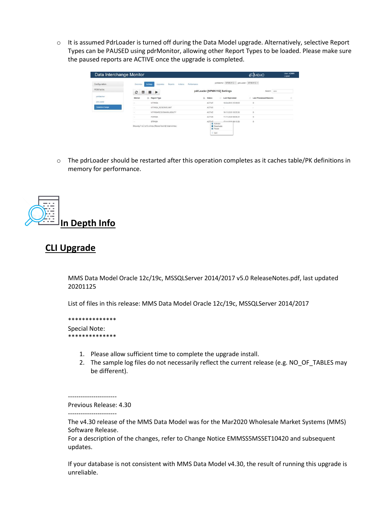o It is assumed PdrLoader is turned off during the Data Model upgrade. Alternatively, selective Report Types can be PAUSED using pdrMonitor, allowing other Report Types to be loaded. Please make sure the paused reports are ACTIVE once the upgrade is completed.

| Data Interchange Monitor |                                                                                         |                                                                                   | AEMO                   | <b>User: ADMIN</b><br>Logout |
|--------------------------|-----------------------------------------------------------------------------------------|-----------------------------------------------------------------------------------|------------------------|------------------------------|
| Configuration            | Reports:<br>Overview<br>Upgrades<br>Actions-<br>Settings                                | pdrBatcher: NPMN11G ~ pdrLoader: NPMN11G ~<br>Performance                         |                        |                              |
| PERFMON                  | c<br>⊞<br>$\mathbf{H}$ $\mathbf{F}$                                                     | pdrLoader [NPMN11G] Settings                                                      | Search: pasa           |                              |
| pdrBatcher               | Il Report Type<br>Market                                                                | Il Status<br>m<br><b>Last Replicated</b>                                          | Last Processed Records | п                            |
| pdrLoader                | <b>MTPASA</b><br>$\sim$                                                                 | ACTIVE<br>10-04-2018 15:59:05                                                     | $\circ$                |                              |
| Datainterchange          | MTPASA RESERVELIMIT<br>$\sim$                                                           | <b>ACTIVE</b><br>$\sim$                                                           | $\sim$                 |                              |
|                          | MTPASAREGIONAVAILABILITY<br>Co.                                                         | ACTIVE<br>16-11-2020 18:29:38                                                     | o                      |                              |
|                          | PDPASA<br>$\sim$                                                                        | <b>ACTIVE</b><br>17-11-2020 09:08:21                                              | $\circ$                |                              |
|                          | <b>STPASA</b><br>$\sim$<br>Showing 1 to 5 of 5 entries (filtered from 82 total entries) | <b>ACTIVE</b><br>17-11-2020.08:15:39<br>Activate<br><b>Deactivate</b><br>II Pause | $\circ$                |                              |
|                          |                                                                                         | D Quit                                                                            |                        |                              |

o The pdrLoader should be restarted after this operation completes as it caches table/PK definitions in memory for performance.



#### **CLI Upgrade**

MMS Data Model Oracle 12c/19c, MSSQLServer 2014/2017 v5.0 ReleaseNotes.pdf, last updated 20201125

List of files in this release: MMS Data Model Oracle 12c/19c, MSSQLServer 2014/2017

```
**************
Special Note: 
.<br>**************
```
- 1. Please allow sufficient time to complete the upgrade install.
- 2. The sample log files do not necessarily reflect the current release (e.g. NO OF TABLES may be different).

Previous Release: 4.30

-----------------------

-----------------------

The v4.30 release of the MMS Data Model was for the Mar2020 Wholesale Market Systems (MMS) Software Release.

For a description of the changes, refer to Change Notice EMMSS5MSSET10420 and subsequent updates.

If your database is not consistent with MMS Data Model v4.30, the result of running this upgrade is unreliable.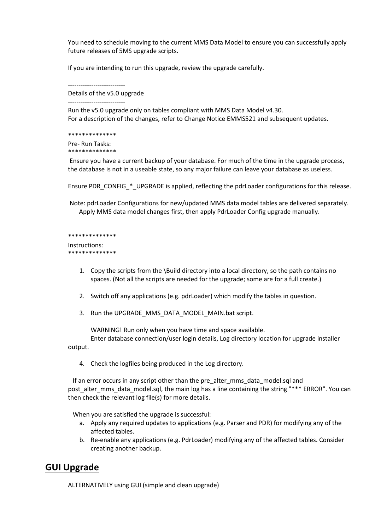You need to schedule moving to the current MMS Data Model to ensure you can successfully apply future releases of 5MS upgrade scripts.

If you are intending to run this upgrade, review the upgrade carefully.

---------------------------

Details of the v5.0 upgrade

---------------------------

Run the v5.0 upgrade only on tables compliant with MMS Data Model v4.30. For a description of the changes, refer to Change Notice EMMS521 and subsequent updates.

\*\*\*\*\*\*\*\*\*\*\*\*\*\*

Pre- Run Tasks: \*\*\*\*\*\*\*\*\*\*\*\*\*

Ensure you have a current backup of your database. For much of the time in the upgrade process, the database is not in a useable state, so any major failure can leave your database as useless.

Ensure PDR\_CONFIG\_\*\_UPGRADE is applied, reflecting the pdrLoader configurations for this release.

Note: pdrLoader Configurations for new/updated MMS data model tables are delivered separately. Apply MMS data model changes first, then apply PdrLoader Config upgrade manually.

```
**************
```
Instructions: \*\*\*\*\*\*\*\*\*\*\*\*\*\*

- 1. Copy the scripts from the \Build directory into a local directory, so the path contains no spaces. (Not all the scripts are needed for the upgrade; some are for a full create.)
- 2. Switch off any applications (e.g. pdrLoader) which modify the tables in question.
- 3. Run the UPGRADE\_MMS\_DATA\_MODEL\_MAIN.bat script.

WARNING! Run only when you have time and space available.

Enter database connection/user login details, Log directory location for upgrade installer output.

4. Check the logfiles being produced in the Log directory.

If an error occurs in any script other than the pre\_alter\_mms\_data\_model.sql and post alter mms data model.sql, the main log has a line containing the string "\*\*\* ERROR". You can then check the relevant log file(s) for more details.

When you are satisfied the upgrade is successful:

- a. Apply any required updates to applications (e.g. Parser and PDR) for modifying any of the affected tables.
- b. Re-enable any applications (e.g. PdrLoader) modifying any of the affected tables. Consider creating another backup.

#### **GUI Upgrade**

ALTERNATIVELY using GUI (simple and clean upgrade)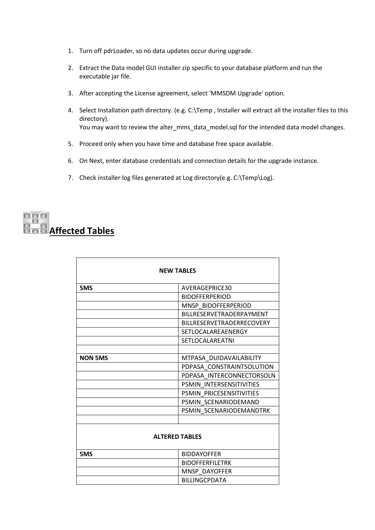- 1. Turn off pdrLoader, so no data updates occur during upgrade.
- 2. Extract the Data model GUI installer zip specific to your database platform and run the executable jar file.
- 3. After accepting the License agreement, select 'MMSDM Upgrade' option.
- 4. Select Installation path directory. (e.g. C:\Temp , Installer will extract all the installer files to this directory). You may want to review the alter\_mms\_data\_model.sql for the intended data model changes.
- 5. Proceed only when you have time and database free space available.
- 6. On Next, enter database credentials and connection details for the upgrade instance.
- 7. Check installer log files generated at Log directory(e.g. C:\Temp\Log).

### $\begin{tabular}{|c|c|c|c|c|} \hline \quad \quad & \quad \quad & \quad \quad & \quad \quad \\ \hline \quad \quad & \quad \quad & \quad \quad & \quad \quad \\ \hline \quad \quad & \quad \quad & \quad \quad & \quad \quad \\ \hline \end{tabular}$ **Affected Tables**

| <b>NEW TABLES</b>     |                                  |  |  |
|-----------------------|----------------------------------|--|--|
| 5MS                   | AVERAGEPRICE30                   |  |  |
|                       | <b>BIDOFFERPERIOD</b>            |  |  |
|                       | MNSP BIDOFFERPERIOD              |  |  |
|                       | BILLRESERVETRADERPAYMENT         |  |  |
|                       | <b>BILLRESERVETRADERRECOVERY</b> |  |  |
|                       | SETLOCALAREAENERGY               |  |  |
|                       | <b>SETLOCALAREATNI</b>           |  |  |
|                       |                                  |  |  |
| <b>NON 5MS</b>        | MTPASA DUIDAVAILABILITY          |  |  |
|                       | PDPASA CONSTRAINTSOLUTION        |  |  |
|                       | PDPASA INTERCONNECTORSOLN        |  |  |
|                       | P5MIN INTERSENSITIVITIES         |  |  |
|                       | P5MIN PRICESENSITIVITIES         |  |  |
|                       | P5MIN SCENARIODEMAND             |  |  |
|                       | P5MIN SCENARIODEMANDTRK          |  |  |
|                       |                                  |  |  |
| <b>ALTERED TABLES</b> |                                  |  |  |
| 5MS                   | <b>BIDDAYOFFER</b>               |  |  |
|                       | <b>BIDOFFERFILETRK</b>           |  |  |
|                       | MNSP DAYOFFER                    |  |  |
|                       | <b>BILLINGCPDATA</b>             |  |  |